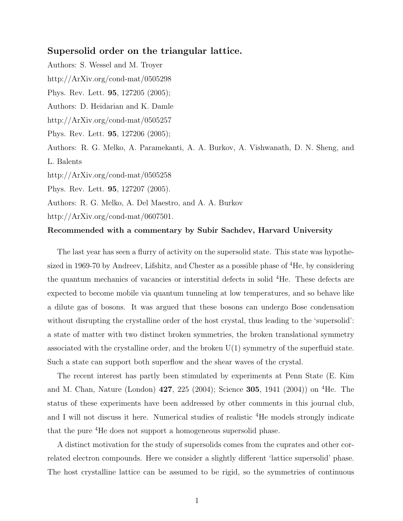## Supersolid order on the triangular lattice.

Authors: S. Wessel and M. Troyer http://ArXiv.org/cond-mat/0505298 Phys. Rev. Lett. 95, 127205 (2005); Authors: D. Heidarian and K. Damle http://ArXiv.org/cond-mat/0505257 Phys. Rev. Lett. 95, 127206 (2005); Authors: R. G. Melko, A. Paramekanti, A. A. Burkov, A. Vishwanath, D. N. Sheng, and L. Balents http://ArXiv.org/cond-mat/0505258 Phys. Rev. Lett. 95, 127207 (2005). Authors: R. G. Melko, A. Del Maestro, and A. A. Burkov

http://ArXiv.org/cond-mat/0607501.

## Recommended with a commentary by Subir Sachdev, Harvard University

The last year has seen a flurry of activity on the supersolid state. This state was hypothesized in 1969-70 by Andreev, Lifshitz, and Chester as a possible phase of <sup>4</sup>He, by considering the quantum mechanics of vacancies or interstitial defects in solid <sup>4</sup>He. These defects are expected to become mobile via quantum tunneling at low temperatures, and so behave like a dilute gas of bosons. It was argued that these bosons can undergo Bose condensation without disrupting the crystalline order of the host crystal, thus leading to the 'supersolid': a state of matter with two distinct broken symmetries, the broken translational symmetry associated with the crystalline order, and the broken U(1) symmetry of the superfluid state. Such a state can support both superflow and the shear waves of the crystal.

The recent interest has partly been stimulated by experiments at Penn State (E. Kim and M. Chan, Nature (London) 427, 225 (2004); Science 305, 1941 (2004)) on <sup>4</sup>He. The status of these experiments have been addressed by other comments in this journal club, and I will not discuss it here. Numerical studies of realistic <sup>4</sup>He models strongly indicate that the pure <sup>4</sup>He does not support a homogeneous supersolid phase.

A distinct motivation for the study of supersolids comes from the cuprates and other correlated electron compounds. Here we consider a slightly different 'lattice supersolid' phase. The host crystalline lattice can be assumed to be rigid, so the symmetries of continuous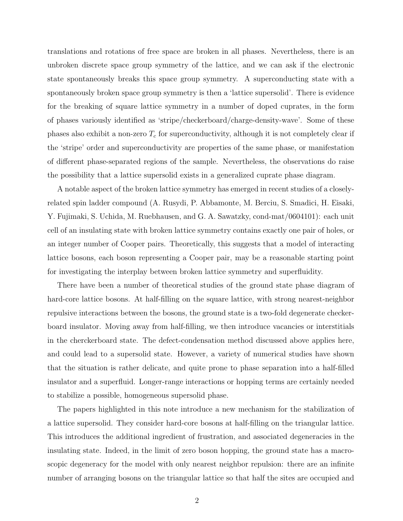translations and rotations of free space are broken in all phases. Nevertheless, there is an unbroken discrete space group symmetry of the lattice, and we can ask if the electronic state spontaneously breaks this space group symmetry. A superconducting state with a spontaneously broken space group symmetry is then a 'lattice supersolid'. There is evidence for the breaking of square lattice symmetry in a number of doped cuprates, in the form of phases variously identified as 'stripe/checkerboard/charge-density-wave'. Some of these phases also exhibit a non-zero  $T_c$  for superconductivity, although it is not completely clear if the 'stripe' order and superconductivity are properties of the same phase, or manifestation of different phase-separated regions of the sample. Nevertheless, the observations do raise the possibility that a lattice supersolid exists in a generalized cuprate phase diagram.

A notable aspect of the broken lattice symmetry has emerged in recent studies of a closelyrelated spin ladder compound (A. Rusydi, P. Abbamonte, M. Berciu, S. Smadici, H. Eisaki, Y. Fujimaki, S. Uchida, M. Ruebhausen, and G. A. Sawatzky, cond-mat/0604101): each unit cell of an insulating state with broken lattice symmetry contains exactly one pair of holes, or an integer number of Cooper pairs. Theoretically, this suggests that a model of interacting lattice bosons, each boson representing a Cooper pair, may be a reasonable starting point for investigating the interplay between broken lattice symmetry and superfluidity.

There have been a number of theoretical studies of the ground state phase diagram of hard-core lattice bosons. At half-filling on the square lattice, with strong nearest-neighbor repulsive interactions between the bosons, the ground state is a two-fold degenerate checkerboard insulator. Moving away from half-filling, we then introduce vacancies or interstitials in the cherckerboard state. The defect-condensation method discussed above applies here, and could lead to a supersolid state. However, a variety of numerical studies have shown that the situation is rather delicate, and quite prone to phase separation into a half-filled insulator and a superfluid. Longer-range interactions or hopping terms are certainly needed to stabilize a possible, homogeneous supersolid phase.

The papers highlighted in this note introduce a new mechanism for the stabilization of a lattice supersolid. They consider hard-core bosons at half-filling on the triangular lattice. This introduces the additional ingredient of frustration, and associated degeneracies in the insulating state. Indeed, in the limit of zero boson hopping, the ground state has a macroscopic degeneracy for the model with only nearest neighbor repulsion: there are an infinite number of arranging bosons on the triangular lattice so that half the sites are occupied and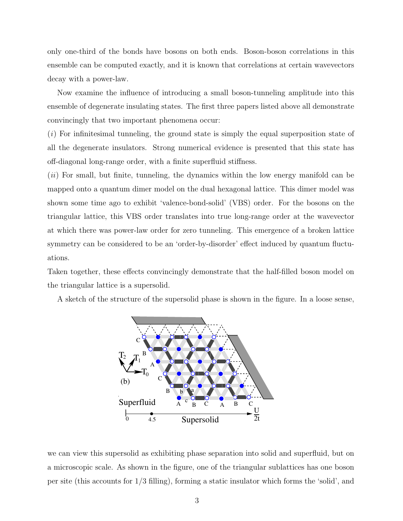only one-third of the bonds have bosons on both ends. Boson-boson correlations in this ensemble can be computed exactly, and it is known that correlations at certain wavevectors decay with a power-law.

Now examine the influence of introducing a small boson-tunneling amplitude into this ensemble of degenerate insulating states. The first three papers listed above all demonstrate convincingly that two important phenomena occur:

 $(i)$  For infinitesimal tunneling, the ground state is simply the equal superposition state of all the degenerate insulators. Strong numerical evidence is presented that this state has off-diagonal long-range order, with a finite superfluid stiffness.

(*ii*) For small, but finite, tunneling, the dynamics within the low energy manifold can be mapped onto a quantum dimer model on the dual hexagonal lattice. This dimer model was shown some time ago to exhibit 'valence-bond-solid' (VBS) order. For the bosons on the triangular lattice, this VBS order translates into true long-range order at the wavevector at which there was power-law order for zero tunneling. This emergence of a broken lattice symmetry can be considered to be an 'order-by-disorder' effect induced by quantum fluctuations.

Taken together, these effects convincingly demonstrate that the half-filled boson model on the triangular lattice is a supersolid.

A sketch of the structure of the supersolid phase is shown in the figure. In a loose sense,



we can view this supersolid as exhibiting phase separation into solid and superfluid, but on a microscopic scale. As shown in the figure, one of the triangular sublattices has one boson per site (this accounts for 1/3 filling), forming a static insulator which forms the 'solid', and